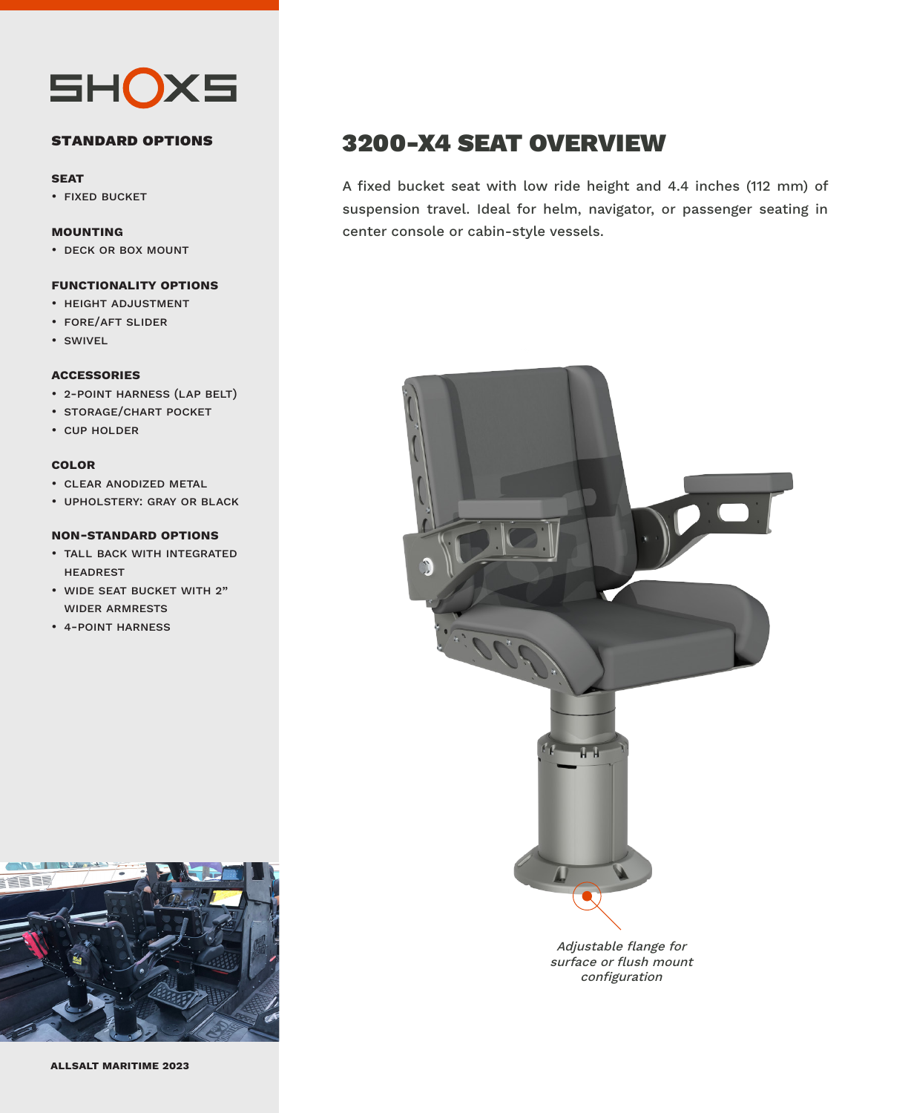

#### **standard options**

#### **seat**

• fixed bucket

#### **mounting**

• deck or box mount

#### **functionality options**

- height adjustment
- fore/aft slider
- swivel

#### **accessories**

- 2-point harness (lap belt)
- storage/chart pocket
- cup holder

#### **color**

- clear anodized metal
- upholstery: gray or black

#### **non-standard options**

- tall back with integrated headrest
- wide seat bucket with 2" wider armrests
- 4-point harness



### 3200-X4 SEAT OVERVIEW

A fixed bucket seat with low ride height and 4.4 inches (112 mm) of suspension travel. Ideal for helm, navigator, or passenger seating in center console or cabin-style vessels.



surface or flush mount configuration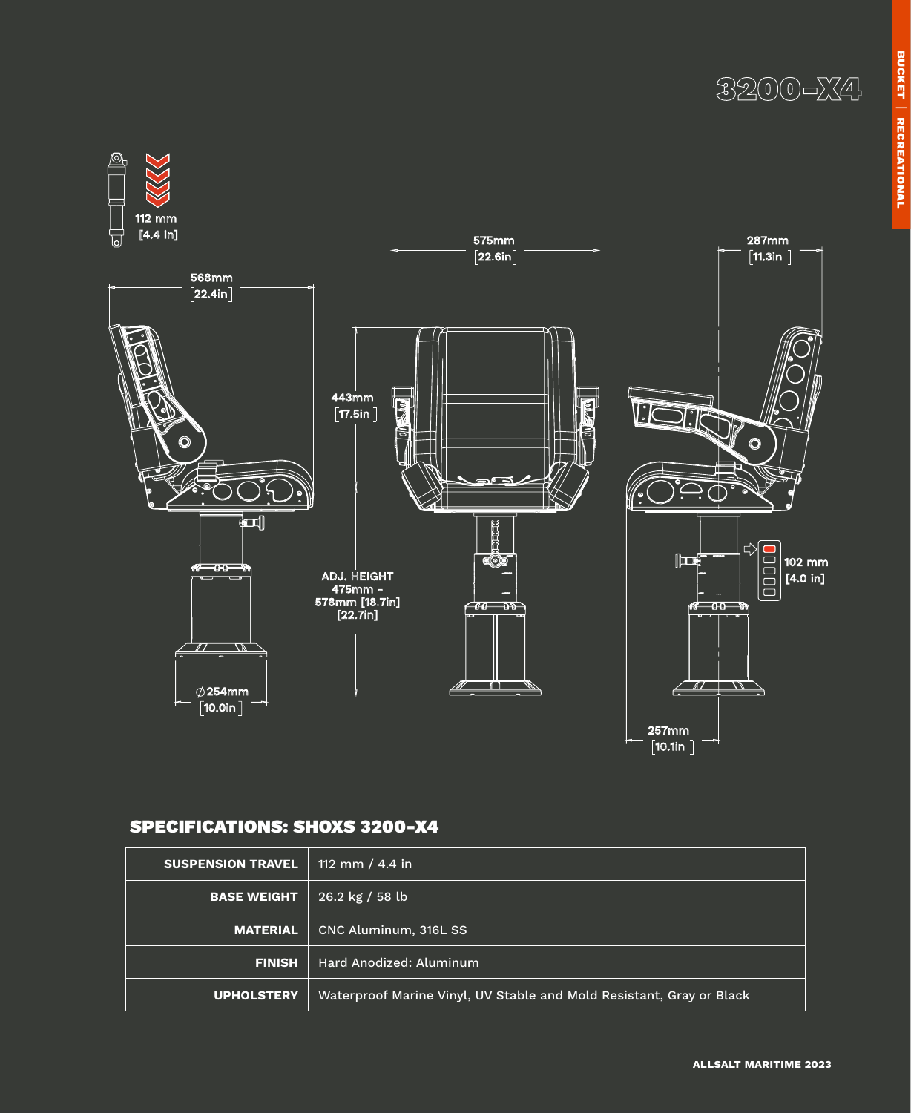



### SPECIFICATIONS: SHOXS 3200-X4

| <b>SUSPENSION TRAVEL</b> | 112 mm / 4.4 in                                                      |  |  |
|--------------------------|----------------------------------------------------------------------|--|--|
| <b>BASE WEIGHT</b>       | 26.2 kg / 58 lb                                                      |  |  |
| <b>MATERIAL</b>          | CNC Aluminum, 316L SS                                                |  |  |
| <b>FINISH</b>            | Hard Anodized: Aluminum                                              |  |  |
| UPHOLSTERY               | Waterproof Marine Vinyl, UV Stable and Mold Resistant, Gray or Black |  |  |

**allsalt maritime 2023**